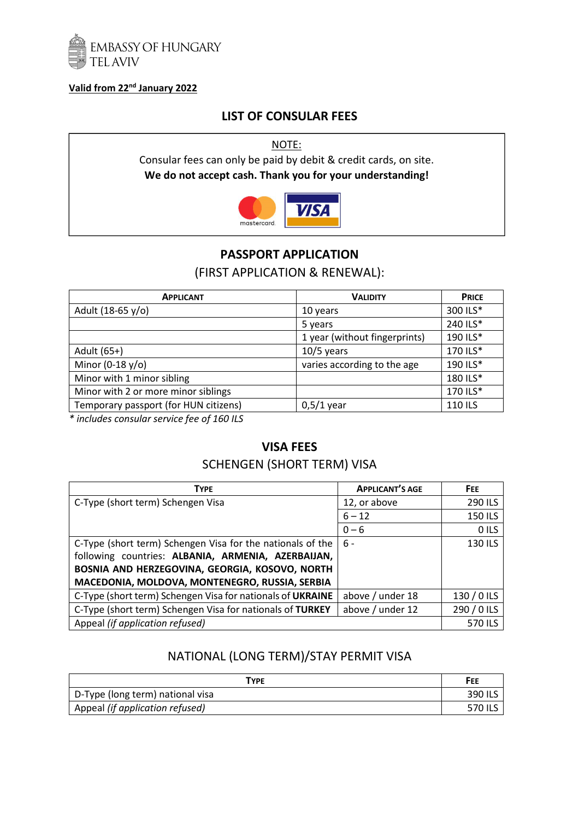

#### **Valid from 22nd January 2022**

## **LIST OF CONSULAR FEES**

NOTE:

Consular fees can only be paid by debit & credit cards, on site. **We do not accept cash. Thank you for your understanding!** 



## **PASSPORT APPLICATION**

#### (FIRST APPLICATION & RENEWAL):

| <b>APPLICANT</b>                      | <b>VALIDITY</b>               | <b>PRICE</b> |
|---------------------------------------|-------------------------------|--------------|
| Adult (18-65 y/o)                     | 10 years                      | 300 ILS*     |
|                                       | 5 years                       | 240 ILS*     |
|                                       | 1 year (without fingerprints) | 190 ILS*     |
| Adult (65+)                           | $10/5$ years                  | 170 ILS*     |
| Minor (0-18 $y$ /o)                   | varies according to the age   | 190 ILS*     |
| Minor with 1 minor sibling            |                               | 180 ILS*     |
| Minor with 2 or more minor siblings   |                               | 170 ILS*     |
| Temporary passport (for HUN citizens) | $0,5/1$ year                  | 110 ILS      |

*\* includes consular service fee of 160 ILS* 

# **VISA FEES**

## SCHENGEN (SHORT TERM) VISA

| <b>TYPE</b>                                                | <b>APPLICANT'S AGE</b> | FEE.        |
|------------------------------------------------------------|------------------------|-------------|
| C-Type (short term) Schengen Visa                          | 12, or above           | 290 ILS     |
|                                                            | $6 - 12$               | 150 ILS     |
|                                                            | $0 - 6$                | O ILS       |
| C-Type (short term) Schengen Visa for the nationals of the | $6 -$                  | 130 ILS     |
| following countries: ALBANIA, ARMENIA, AZERBAIJAN,         |                        |             |
| BOSNIA AND HERZEGOVINA, GEORGIA, KOSOVO, NORTH             |                        |             |
| MACEDONIA, MOLDOVA, MONTENEGRO, RUSSIA, SERBIA             |                        |             |
| C-Type (short term) Schengen Visa for nationals of UKRAINE | above / under 18       | 130 / 0 ILS |
| C-Type (short term) Schengen Visa for nationals of TURKEY  | above / under 12       | 290 / 0 ILS |
| Appeal (if application refused)                            |                        | 570 ILS     |

# NATIONAL (LONG TERM)/STAY PERMIT VISA

| TYPE                             | FEE     |
|----------------------------------|---------|
| D-Type (long term) national visa | 390 ILS |
| Appeal (if application refused)  | 570 ILS |